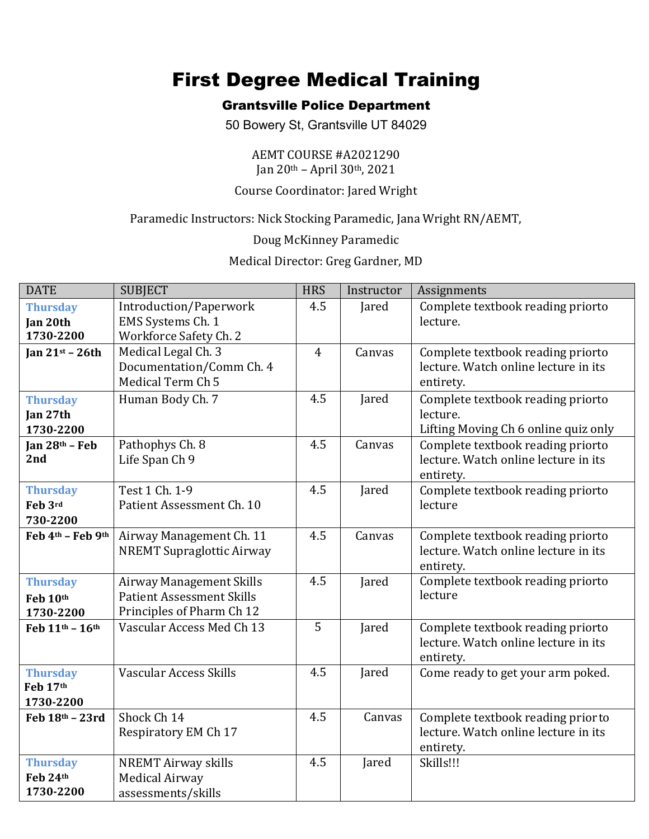# First Degree Medical Training

## Grantsville Police Department

50 Bowery St, Grantsville UT 84029

#### AEMT COURSE #A2021290 Jan 20th – April 30th, 2021

## Course Coordinator: Jared Wright

### Paramedic Instructors: Nick Stocking Paramedic, Jana Wright RN/AEMT,

Doug McKinney Paramedic

Medical Director: Greg Gardner, MD

| <b>DATE</b>                              | <b>SUBJECT</b>                                                                                   | <b>HRS</b>     | Instructor | Assignments                                                                             |
|------------------------------------------|--------------------------------------------------------------------------------------------------|----------------|------------|-----------------------------------------------------------------------------------------|
| <b>Thursday</b><br>Jan 20th              | Introduction/Paperwork<br>EMS Systems Ch. 1                                                      | 4.5            | Jared      | Complete textbook reading priorto<br>lecture.                                           |
| 1730-2200                                | Workforce Safety Ch. 2                                                                           |                |            |                                                                                         |
| Jan $21st - 26th$                        | Medical Legal Ch. 3<br>Documentation/Comm Ch. 4<br>Medical Term Ch 5                             | $\overline{4}$ | Canvas     | Complete textbook reading priorto<br>lecture. Watch online lecture in its<br>entirety.  |
| <b>Thursday</b><br>Jan 27th<br>1730-2200 | Human Body Ch. 7                                                                                 | 4.5            | Jared      | Complete textbook reading priorto<br>lecture.<br>Lifting Moving Ch 6 online quiz only   |
| Jan 28th - Feb<br>2nd                    | Pathophys Ch. 8<br>Life Span Ch 9                                                                | 4.5            | Canvas     | Complete textbook reading priorto<br>lecture. Watch online lecture in its<br>entirety.  |
| <b>Thursday</b><br>Feb 3rd<br>730-2200   | Test 1 Ch. 1-9<br>Patient Assessment Ch. 10                                                      | 4.5            | Jared      | Complete textbook reading priorto<br>lecture                                            |
| Feb 4th - Feb 9th                        | Airway Management Ch. 11<br><b>NREMT Supraglottic Airway</b>                                     | 4.5            | Canvas     | Complete textbook reading priorto<br>lecture. Watch online lecture in its<br>entirety.  |
| <b>Thursday</b><br>Feb 10th<br>1730-2200 | <b>Airway Management Skills</b><br><b>Patient Assessment Skills</b><br>Principles of Pharm Ch 12 | 4.5            | Jared      | Complete textbook reading priorto<br>lecture                                            |
| Feb 11th - 16th                          | Vascular Access Med Ch 13                                                                        | 5              | Jared      | Complete textbook reading priorto<br>lecture. Watch online lecture in its<br>entirety.  |
| <b>Thursday</b><br>Feb 17th<br>1730-2200 | Vascular Access Skills                                                                           | 4.5            | Jared      | Come ready to get your arm poked.                                                       |
| Feb 18th - 23rd                          | Shock Ch 14<br>Respiratory EM Ch 17                                                              | 4.5            | Canvas     | Complete textbook reading prior to<br>lecture. Watch online lecture in its<br>entirety. |
| <b>Thursday</b><br>Feb 24th<br>1730-2200 | <b>NREMT Airway skills</b><br><b>Medical Airway</b><br>assessments/skills                        | 4.5            | Jared      | Skills!!!                                                                               |